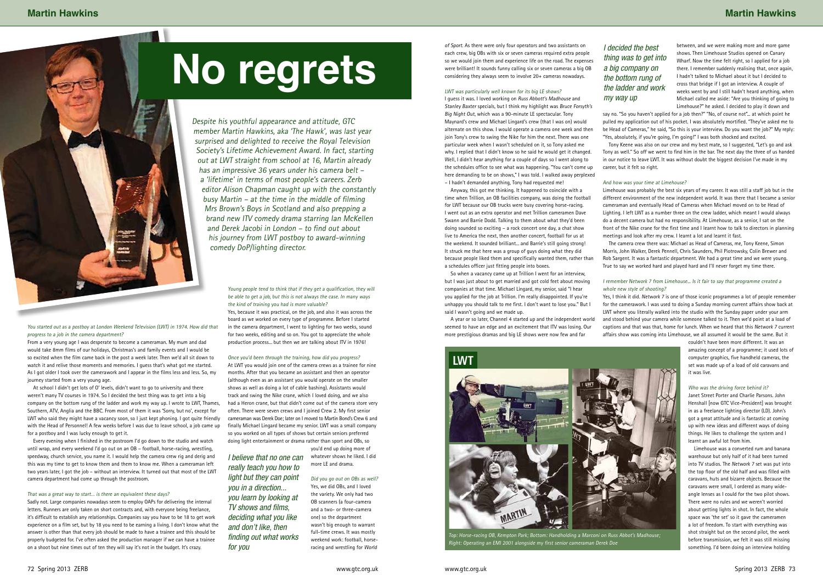Despite his youthful appearance and attitude, GTC member Martin Hawkins, aka 'The Hawk', was last year surprised and delighted to receive the Royal Television Society's Lifetime Achievement Award. In fact, starting out at LWT straight from school at 16, Martin already has an impressive 36 years under his camera belt – <sup>a</sup>'lifetime' in terms of most people's careers. Zerb editor Alison Chapman caught up with the constantly busy Martin – at the time in the middle of filming Mrs Brown's Boys in Scotland and also prepping a brand new ITV comedy drama starring Ian McKellen and Derek Jacobi in London – to find out about

You started out as a postboy at London Weekend Television (LWT) in 1974. How did that progress to a job in the camera department?

From a very young age I was desperate to become a cameraman. My mum and dad would take 8mm films of our holidays, Christmas's and family events and I would be so excited when the film came back in the post a week later. Then we'd all sit down to watch it and relive those moments and memories. I guess that's what got me started. As I got older I took over the camerawork and I appear in the films less and less. So, my journey started from a very young age.

At school I didn't get lots of O' levels, didn't want to go to university and there weren't many TV courses in 1974. So I decided the best thing was to get into a big company on the bottom rung of the ladder and work my way up. I wrote to LWT, Thames, Southern, ATV, Anglia and the BBC. From most of them it was 'Sorry, but no', except for LWT who said they might have a vacancy soon, so I just kept phoning. I got quite friendly with the Head of Personnel! A few weeks before I was due to leave school, a job came up for a postboy and I was lucky enough to get it.

Every evening when I finished in the postroom I'd go down to the studio and watch until wrap, and every weekend I'd go out on an OB – football, horse-racing, wrestling, speedway, church service, you name it. I would help the camera crew rig and derig and this was my time to get to know them and them to know me. When a cameraman left two years later, I got the job – without an interview. It turned out that most of the LWT camera department had come up through the postroom.

### That was a great way to start… is there an equivalent these days?

Sadly not. Large companies nowadays seem to employ OAPs for delivering the internal letters. Runners are only taken on short contracts and, with everyone being freelance, it's difficult to establish any relationships. Companies say you have to be 18 to get work experience on a film set, but by 18 you need to be earning a living. I don't know what the answer is other than that every job should be made to have a trainee and this should be properly budgeted for. I've often asked the production manager if we can have a trainee on a shoot but nine times out of ten they will say it's not in the budget. It's crazy.

Young people tend to think that if they get a qualification, they will be able to get a job, but this is not always the case. In many ways the kind of training you had is more valuable? Yes, because it was practical, on the job, and also it was across the

board as we worked on every type of programme. Before I started in the camera department, I went to lighting for two weeks, sound for two weeks, editing and so on. You got to appreciate the whole production process... but then we are talking about ITV in 1976!

### Once you'd been through the training, how did you progress?

Tony Keene was also on our crew and my best mate, so I suggested, "Let's go and ask Tony as well." So off we went to find him in the bar. The next day the three of us handed in our notice to leave LWT. It was without doubt the biggest decision I've made in my career, but it felt so right.

At LWT you would join one of the camera crews as a trainee for nine months. After that you became an assistant and then an operator (although even as an assistant you would operate on the smaller shows as well as doing a lot of cable bashing). Assistants would track and swing the Nike crane, which I loved doing, and we also had a Heron crane, but that didn't come out of the camera store very often. There were seven crews and I joined Crew 2. My first senior cameraman was Derek Doe; later on I moved to Martin Bond's Crew 6 and finally Michael Lingard became my senior. LWT was a small company so you worked on all types of shows but certain seniors preferred doing light entertainment or drama rather than sport and OBs, so

you'd end up doing more of whatever shows he liked. I did more LE and drama.

Did you go out on OBs as well? Yes, we did OBs, and I loved the variety. We only had two OB scanners (a four-camera and a two- or three-camera one) so the department wasn't big enough to warrant full-time crews. It was mostly weekend work: football, horseracing and wrestling for World

of Sport. As there were only four operators and two assistants on each crew, big OBs with six or seven cameras required extra people so we would join them and experience life on the road. The expenses were brilliant! It sounds funny calling six or seven cameras a big OB considering they always seem to involve 20+ cameras nowadays.

> whole new style of shooting? Yes, I think it did. Network 7 is one of those iconic programmes a lot of people remember for the camerawork. I was used to doing a Sunday morning current affairs show back at LWT where you literally walked into the studio with the Sunday paper under your arm and stood behind your camera while someone talked to it. Then we'd point at a load of captions and that was that, home for lunch. When we heard that this Network 7 current affairs show was coming into Limehouse, we all assumed it would be the same. But it

### LWT was particularly well known for its big LE shows?

I guess it was. I loved working on Russ Abbott's Madhouse and Stanley Baxter specials, but I think my highlight was Bruce Forsyth's Big Night Out, which was a 90-minute LE spectacular. Tony Maynard's crew and Michael Lingard's crew (that I was on) would alternate on this show. I would operate a camera one week and then join Tony's crew to swing the Nike for him the next. There was one particular week when I wasn't scheduled on it, so Tony asked me

why. I replied that I didn't know so he said he would get it changed. Well, I didn't hear anything for a couple of days so I went along to the schedules office to see what was happening. "You can't come up here demanding to be on shows," I was told. I walked away perplexed – I hadn't demanded anything, Tony had requested me!



Anyway, this got me thinking. It happened to coincide with a time when Trillion, an OB facilities company, was doing the football for LWT because our OB trucks were busy covering horse-racing. I went out as an extra operator and met Trillion cameramen Dave Swann and Barrie Dodd. Talking to them about what they'd been doing sounded so exciting – a rock concert one day, a chat show live to America the next, then another concert, football for us at the weekend. It sounded brilliant... and Barrie's still going strong! It struck me that here was a group of guys doing what they did because people liked them and specifically wanted them, rather than a schedules officer just fitting people into boxes.

So when a vacancy came up at Trillion I went for an interview, but I was just about to get married and got cold feet about moving companies at that time. Michael Lingard, my senior, said "I hear you applied for the job at Trillion. I'm really disappointed. If you're unhappy you should talk to me first. I don't want to lose you." But I said I wasn't going and we made up.

A year or so later, Channel 4 started up and the independent world seemed to have an edge and an excitement that ITV was losing. Our more prestigious dramas and big LE shows were now few and far

between, and we were making more and more game shows. Then Limehouse Studios opened on Canary Wharf. Now the time felt right, so I applied for a job there. I remember suddenly realising that, once again, I hadn't talked to Michael about it but I decided to cross that bridge if I got an interview. A couple of weeks went by and I still hadn't heard anything, when Michael called me aside: "Are you thinking of going to Limehouse?" he asked. I decided to play it down and

say no. "So you haven't applied for a job then?" "No, of course not"... at which point he pulled my application out of his pocket. I was absolutely mortified. "They've asked me to be Head of Cameras," he said, "So this is your interview. Do you want the job?" My reply: "Yes, absolutely, if you're going, I'm going!" I was both shocked and excited.

### And how was your time at Limehouse?

Limehouse was probably the best six years of my career. It was still a staff job but in the different environment of the new independent world. It was there that I became a senior cameraman and eventually Head of Cameras when Michael moved on to be Head of Lighting. I left LWT as a number three on the crew ladder, which meant I would always do a decent camera but had no responsibility. At Limehouse, as a senior, I sat on the front of the Nike crane for the first time and I learnt how to talk to directors in planning meetings and look after my crew. I learnt a lot and learnt it fast.

The camera crew there was: Michael as Head of Cameras, me, Tony Keene, Simon Morris, John Walker, Derek Pennell, Chris Saunders, Phil Piotrowsky, Colin Brewer and Rob Sargent. It was a fantastic department. We had a great time and we were young. True to say we worked hard and played hard and I'll never forget my time there.

# I remember Network 7 from Limehouse... Is it fair to say that programme created a

couldn't have been more different. It was an

### Who was the driving force behind it?

amazing concept of a programme; it used lots of computer graphics, five handheld cameras, the set was made up of a load of old caravans and it was live.

Janet Street Porter and Charlie Parsons. John Henshall [now GTC Vice-President] was brought in as a freelance lighting director (LD). John's got a great attitude and is fantastic at coming up with new ideas and different ways of doing things. He likes to challenge the system and I learnt an awful lot from him.

 Limehouse was a converted rum and banana warehouse but only half of it had been turned into TV studios. The Network 7 set was put into the top floor of the old half and was filled with caravans, huts and bizarre objects. Because the caravans were small, I ordered as many wideangle lenses as I could for the two pilot shows. There were no rules and we weren't worried about getting lights in shot. In fact, the whole space was 'the set' so it gave the cameramen a lot of freedom. To start with everything was shot straight but on the second pilot, the week before transmission, we felt it was still missing something. I'd been doing an interview holding

# I decided the best thing was to get into a big company on the bottom rung of the ladder and work

# my way up

Top: Horse-racing OB, Kempton Park; Bottom: Handholding a Marconi on Russ Abbot's Madhouse; Right: Operating an EMI 2001 alongside my first senior cameraman Derek Doe



I believe that no one can really teach you how to light but they can point you in a direction... you learn by looking at TV shows and films, deciding what you like and don't like, then finding out what works for you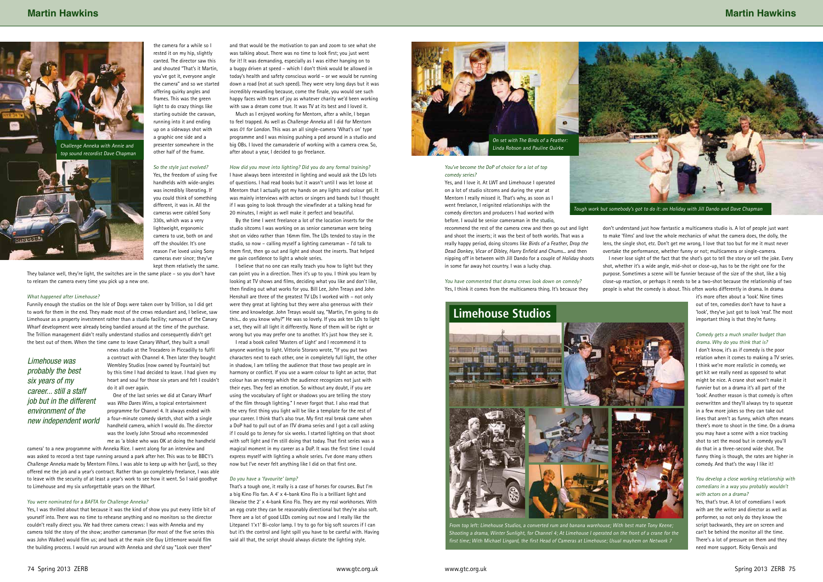the camera for a while so I rested it on my hip, slightly canted. The director saw this and shouted "That's it Martin, you've got it, everyone angle the camera" and so we started offering quirky angles and frames. This was the green light to do crazy things like starting outside the caravan, running into it and ending up on a sideways shot with a graphic one side and a presenter somewhere in the

other half of the frame.

### So the style just evolved?

Yes, the freedom of using five handhelds with wide-angles was incredibly liberating. If you could think of something different, it was in. All the cameras were cabled Sony 330s, which was a very lightweight, ergonomic camera to use, both on and off the shoulder. It's one reason I've loved using Sony cameras ever since; they've kept them relatively the same.

They balance well, they're light, the switches are in the same place – so you don't have to relearn the camera every time you pick up a new one.

### What happened after Limehouse?

Funnily enough the studios on the Isle of Dogs were taken over by Trillion, so I did get to work for them in the end. They made most of the crews redundant and, I believe, saw Limehouse as a property investment rather than a studio facility; rumours of the Canary Wharf development were already being bandied around at the time of the purchase. The Trillion management didn't really understand studios and consequently didn't get the best out of them. When the time came to leave Canary Wharf, they built a small

> news studio at the Trocadero in Piccadilly to fulfil a contract with Channel 4. Then later they bought Wembley Studios (now owned by Fountain) but by this time I had decided to leave. I had given my heart and soul for those six years and felt I couldn't do it all over again.

 One of the last series we did at Canary Wharf was Who Dares Wins, a topical entertainment programme for Channel 4. It always ended with a four-minute comedy sketch, shot with a single handheld camera, which I would do. The director was the lovely John Stroud who recommended me as 'a bloke who was OK at doing the handheld

camera' to a new programme with Anneka Rice. I went along for an interview and was asked to record a test tape running around a park after her. This was to be BBC1's Challenge Anneka made by Mentorn Films. I was able to keep up with her (just), so they offered me the job and a year's contract. Rather than go completely freelance, I was able to leave with the security of at least a year's work to see how it went. So I said goodbye to Limehouse and my six unforgettable years on the Wharf.

### You were nominated for a BAFTA for Challenge Anneka?

Yes, I was thrilled about that because it was the kind of show you put every little bit of yourself into. There was no time to rehearse anything and no monitors so the director couldn't really direct you. We had three camera crews: I was with Anneka and my camera told the story of the show; another cameraman (for most of the five series this was John Walker) would film us; and back at the main site Guy Littlemore would film the building process. I would run around with Anneka and she'd say "Look over there"

and that would be the motivation to pan and zoom to see what she was talking about. There was no time to look first; you just went for it! It was demanding, especially as I was either hanging on to a buggy driven at speed – which I don't think would be allowed in today's health and safety conscious world – or we would be running down a road (not at such speed). They were very long days but it was incredibly rewarding because, come the finale, you would see such happy faces with tears of joy as whatever charity we'd been working with saw a dream come true. It was TV at its best and I loved it.

Much as I enjoyed working for Mentorn, after a while, I began to feel trapped. As well as Challenge Anneka all I did for Mentorn was 01 for London. This was an all single-camera 'What's on' type programme and I was missing pushing a ped around in a studio and big OBs. I loved the camaraderie of working with a camera crew. So, after about a year, I decided to go freelance.

### How did you move into lighting? Did you do any formal training?

I have always been interested in lighting and would ask the LDs lots of questions. I had read books but it wasn't until I was let loose at Mentorn that I actually got my hands on any lights and colour gel. It was mainly interviews with actors or singers and bands but I thought if I was going to look through the viewfinder at a talking head for 20 minutes, I might as well make it perfect and beautiful.

By the time I went freelance a lot of the location inserts for the studio sitcoms I was working on as senior cameraman were being shot on video rather than 16mm film. The LDs tended to stay in the studio, so now – calling myself a lighting cameraman – I'd talk to them first, then go out and light and shoot the inserts. That helped me gain confidence to light a whole series.

I believe that no one can really teach you how to light but they can point you in a direction. Then it's up to you. I think you learn by looking at TV shows and films, deciding what you like and don't like, then finding out what works for you. Bill Lee, John Treays and John Henshall are three of the greatest TV LDs I worked with – not only were they great at lighting but they were also generous with their time and knowledge. John Treays would say, "Martin, I'm going to do this... do you know why?" He was so lovely. If you ask ten LDs to light a set, they will all light it differently. None of them will be right or wrong but you may prefer one to another. It's just how they see it.

I read a book called 'Masters of Light' and I recommend it to anyone wanting to light. Vittorio Storaro wrote, "If you put two characters next to each other, one in completely full light, the other in shadow, I am telling the audience that those two people are in harmony or conflict. If you use a warm colour to light an actor, that colour has an energy which the audience recognizes not just with their eyes. They feel an emotion. So without any doubt, if you are using the vocabulary of light or shadows you are telling the story of the film through lighting." I never forgot that. I also read that the very first thing you light will be like a template for the rest of your career. I think that's also true. My first real break came when a DoP had to pull out of an ITV drama series and I got a call asking if I could go to Jersey for six weeks. I started lighting on that shoot with soft light and I'm still doing that today. That first series was a magical moment in my career as a DoP. It was the first time I could express myself with lighting a whole series. I've done many others now but I've never felt anything like I did on that first one.

### Do you have a 'favourite' lamp?

That's a tough one, it really is a case of horses for courses. But I'm a big Kino Flo fan. A 4' x 4-bank Kino Flo is a brilliant light and likewise the 2' x 4-bank Kino Flo. They are my real workhorses. With an egg crate they can be reasonably directional but they're also soft. There are a lot of good LEDs coming out now and I really like the Litepanel 1'x1' Bi-color lamp. I try to go for big soft sources if I can but it's the control and light spill you have to be careful with. Having said all that, the script should always dictate the lighting style.

### You've become the DoP of choice for a lot of top comedy series?

Yes, and I love it. At LWT and Limehouse I operated on a lot of studio sitcoms and during the year at Mentorn I really missed it. That's why, as soon as I went freelance, I reignited relationships with the comedy directors and producers I had worked with before. I would be senior cameraman in the studio,

recommend the rest of the camera crew and then go out and light and shoot the inserts; it was the best of both worlds. That was a really happy period, doing sitcoms like Birds of a Feather, Drop the Dead Donkey, Vicar of Dibley, Harry Enfield and Chums... and then nipping off in between with Jill Dando for a couple of Holiday shoots in some far away hot country. I was a lucky chap.

You have commented that drama crews look down on comedy? Yes, I think it comes from the multicamera thing. It's because they

don't understand just how fantastic a multicamera studio is. A lot of people just want to make 'films' and love the whole mechanics of what the camera does, the dolly, the lens, the single shot, etc. Don't get me wrong, I love that too but for me it must never overtake the performance, whether funny or not; multicamera or single-camera. I never lose sight of the fact that the shot's got to tell the story or sell the joke. Every shot, whether it's a wide angle, mid-shot or close-up, has to be the right one for the purpose. Sometimes a scene will be funnier because of the size of the shot, like a big close-up reaction, or perhaps it needs to be a two-shot because the relationship of two people is what the comedy is about. This often works differently in drama. In drama

it's more often about a 'look'. Nine times out of ten, comedies don't have to have a 'look', they've just got to look 'real'. The most important thing is that they're funny.

### Comedy gets a much smaller budget than drama. Why do you think that is?

I don't know, it's as if comedy is the poor relation when it comes to making a TV series. I think we're more realistic in comedy, we get kit we really need as opposed to what might be nice. A crane shot won't make it funnier but on a drama it's all part of the 'look'. Another reason is that comedy is often overwritten and they'll always try to squeeze in a few more jokes so they can take out lines that aren't as funny, which often means there's more to shoot in the time. On a drama you may have a scene with a nice tracking shot to set the mood but in comedy you'll do that in a three-second wide shot. The funny thing is though, the rates are higher in comedy. And that's the way I like it!

### You develop a close working relationship with comedians in a way you probably wouldn't with actors on a drama?

Yes, that's true. A lot of comedians I work with are the writer and director as well as performer, so not only do they know the script backwards, they are on screen and can't be behind the monitor all the time. There's a lot of pressure on them and they need more support. Ricky Gervais and





## Limehouse was probably the best six years of my career... still a staff job but in the different environment of the new independent world



From top left: Limehouse Studios, a converted rum and banana warehouse; With best mate Tony Keene; Shooting a drama, Winter Sunlight, for Channel 4; At Limehouse I operated on the front of a crane for the first time; With Michael Lingard, the first Head of Cameras at Limehouse; Usual mayhem on Network 7